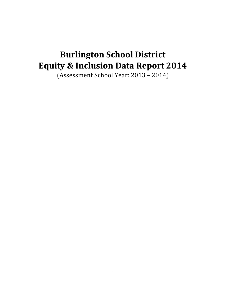# **Burlington School District Equity & Inclusion Data Report 2014**

(Assessment School Year: 2013 – 2014)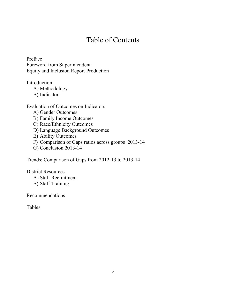# Table of Contents

Preface Foreword from Superintendent Equity and Inclusion Report Production

Introduction

A) Methodology

B) Indicators

# Evaluation of Outcomes on Indicators

A) Gender Outcomes

B) Family Income Outcomes

C) Race/Ethnicity Outcomes

D) Language Background Outcomes

- E) Ability Outcomes
- F) Comparison of Gaps ratios across groups 2013-14

G) Conclusion 2013-14

Trends: Comparison of Gaps from 2012-13 to 2013-14

District Resources A) Staff Recruitment B) Staff Training

Recommendations

Tables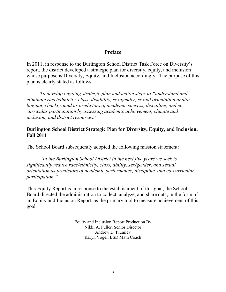# **Preface**

In 2011, in response to the Burlington School District Task Force on Diversity's report, the district developed a strategic plan for diversity, equity, and inclusion whose purpose is Diversity, Equity, and Inclusion accordingly. The purpose of this plan is clearly stated as follows:

*To develop ongoing strategic plan and action steps to "understand and eliminate race/ethnicity, class, disability, sex/gender, sexual orientation and/or language background as predictors of academic success, discipline, and cocurricular participation by assessing academic achievement, climate and inclusion, and district resources."* 

# **Burlington School District Strategic Plan for Diversity, Equity, and Inclusion, Fall 2011**

The School Board subsequently adopted the following mission statement:

*"In the Burlington School District in the next five years we seek to significantly reduce race/ethnicity, class, ability, sex/gender, and sexual orientation as predictors of academic performance, discipline, and co-curricular participation."* 

This Equity Report is in response to the establishment of this goal, the School Board directed the administration to collect, analyze, and share data, in the form of an Equity and Inclusion Report, as the primary tool to measure achievement of this goal.

> Equity and Inclusion Report Production By Nikki A. Fuller, Senior Director Andrew D. Plumley Karyn Vogel, BSD Math Coach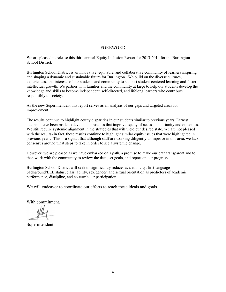#### FOREWORD

We are pleased to release this third annual Equity Inclusion Report for 2013-2014 for the Burlington School District.

Burlington School District is an innovative, equitable, and collaborative community of learners inspiring and shaping a dynamic and sustainable future for Burlington. We build on the diverse cultures, experiences, and interests of our students and community to support student-centered learning and foster intellectual growth. We partner with families and the community at large to help our students develop the knowledge and skills to become independent, self-directed, and lifelong learners who contribute responsibly to society.

As the new Superintendent this report serves as an analysis of our gaps and targeted areas for improvement.

The results continue to highlight equity disparities in our students similar to previous years. Earnest attempts have been made to develop approaches that improve equity of access, opportunity and outcomes. We still require systemic alignment in the strategies that will yield our desired state. We are not pleased with the results- in fact, these results continue to highlight similar equity issues that were highlighted in previous years. This is a signal, that although staff are working diligently to improve in this area, we lack consensus around what steps to take in order to see a systemic change.

However, we are pleased as we have embarked on a path, a promise to make our data transparent and to then work with the community to review the data, set goals, and report on our progress.

Burlington School District will seek to significantly reduce race/ethnicity, first language background/ELL status, class, ability, sex/gender, and sexual orientation as predictors of academic performance, discipline, and co-curricular participation.

We will endeavor to coordinate our efforts to reach these ideals and goals.

With commitment,

Superintendent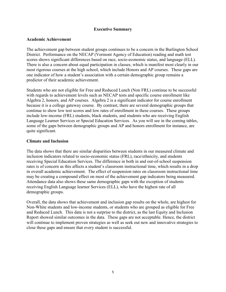# **Executive Summary**

#### **Academic Achievement**

The achievement gap between student groups continues to be a concern in the Burlington School District. Performance on the NECAP (Vermont Agency of Education) reading and math test scores shows significant differences based on race, socio-economic status, and language (ELL). There is also a concern about equal participation in classes, which is manifest most clearly in our most rigorous courses at the high school, which include Honors and AP courses. These gaps are one indicator of how a student's association with a certain demographic group remains a predictor of their academic achievement.

Students who are not eligible for Free and Reduced Lunch (Non FRL) continue to be successful with regards to achievement levels such as NECAP tests and specific course enrollment like Algebra 2, honors, and AP courses. Algebra 2 is a significant indicator for course enrollment because it is a college gateway course. By contrast, there are several demographic groups that continue to show low test scores and low rates of enrollment in these courses. These groups include low-income (FRL) students, black students, and students who are receiving English Language Learner Services or Special Education Services. As you will see in the coming tables, some of the gaps between demographic groups and AP and honors enrollment for instance, are quite significant.

#### **Climate and Inclusion**

The data shows that there are similar disparities between students in our measured climate and inclusion indicators related to socio-economic status (FRL), race/ethnicity, and students receiving Special Education Services. The difference in both in and out-of-school suspension rates is of concern as this affects a student's classroom instructional time, which results in a drop in overall academic achievement. The effect of suspension rates on classroom instructional time may be creating a compound effect on most of the achievement gap indicators being measured. Attendance data also shows these same demographic gaps with the exception of students receiving English Language learner Services (ELL), who have the highest rate of all demographic groups.

Overall, the data shows that achievement and inclusion gap results on the whole, are highest for Non-White students and low-income students, or students who are grouped as eligible for Free and Reduced Lunch. This data is not a surprise to the district, as the last Equity and Inclusion Report showed similar outcomes in the data. These gaps are not acceptable. Hence, the district will continue to implement proven strategies as well as seek out new and innovative strategies to close these gaps and ensure that every student is successful.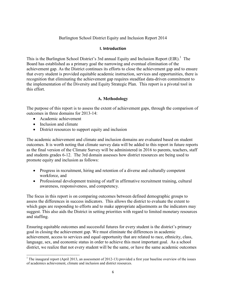# Burlington School District Equity and Inclusion Report 2014

#### **I. Introduction**

This is the Burlington School District's 3rd annual Equity and Inclusion Report  $(EIR)$ .<sup>1</sup> The Board has established as a primary goal the narrowing and eventual elimination of the achievement gap. As the District continues its efforts to close the achievement gap and to ensure that every student is provided equitable academic instruction, services and opportunities, there is recognition that eliminating the achievement gap requires steadfast data-driven commitment to the implementation of the Diversity and Equity Strategic Plan. This report is a pivotal tool in this effort.

# **A. Methodology**

The purpose of this report is to assess the extent of achievement gaps, through the comparison of outcomes in three domains for 2013-14:

- Academic achievement
- Inclusion and climate

 $\overline{a}$ 

• District resources to support equity and inclusion

The academic achievement and climate and inclusion domains are evaluated based on student outcomes. It is worth noting that climate survey data will be added to this report in future reports as the final version of the Climate Survey will be administered in 2016 to parents, teachers, staff and students grades 6-12. The 3rd domain assesses how district resources are being used to promote equity and inclusion as follows:

- Progress in recruitment, hiring and retention of a diverse and culturally competent workforce, and
- Professional development training of staff in affirmative recruitment training, cultural awareness, responsiveness, and competency.

The focus in this report is on comparing outcomes between defined demographic groups to assess the differences in success indicators. This allows the district to evaluate the extent to which gaps are responding to efforts and to make appropriate adjustments as the indicators may suggest. This also aids the District in setting priorities with regard to limited monetary resources and staffing.

Ensuring equitable outcomes and successful futures for every student is the district's primary goal in closing the achievement gap. We must eliminate the differences in academic achievement, access to services and equal opportunity that are related to race, ethnicity, class, language, sex, and economic status in order to achieve this most important goal. As a school district, we realize that not every student will be the same, or have the same academic outcomes

<sup>&</sup>lt;sup>1</sup> The inaugural report (April 2013, an assessment of 2012-13) provided a first year baseline overview of the issues of academics achievement, climate and inclusion and district resources.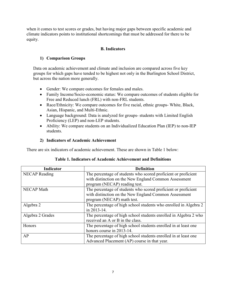when it comes to test scores or grades, but having major gaps between specific academic and climate indicators points to institutional shortcomings that must be addressed for there to be equity.

# **B. Indicators**

# **1) Comparison Groups**

Data on academic achievement and climate and inclusion are compared across five key groups for which gaps have tended to be highest not only in the Burlington School District, but across the nation more generally.

- Gender: We compare outcomes for females and males.
- Family Income/Socio-economic status: We compare outcomes of students eligible for Free and Reduced lunch (FRL) with non-FRL students.
- Race/Ethnicity: We compare outcomes for five racial, ethnic groups- White, Black, Asian, Hispanic, and Multi-Ethnic.
- Language background: Data is analyzed for groups- students with Limited English Proficiency (LEP) and non-LEP students.
- Ability: We compare students on an Individualized Education Plan (IEP) to non-IEP students.

# **2) Indicators of Academic Achievement**

There are six indicators of academic achievement. These are shown in Table 1 below:

| Indicator            | <b>Definition</b>                                                |
|----------------------|------------------------------------------------------------------|
| <b>NECAP</b> Reading | The percentage of students who scored proficient or proficient   |
|                      | with distinction on the New England Common Assessment            |
|                      | program (NECAP) reading test.                                    |
| <b>NECAP Math</b>    | The percentage of students who scored proficient or proficient   |
|                      | with distinction on the New England Common Assessment            |
|                      | program (NECAP) math test.                                       |
| Algebra 2            | The percentage of high school students who enrolled in Algebra 2 |
|                      | in 2013-14.                                                      |
| Algebra 2 Grades     | The percentage of high school students enrolled in Algebra 2 who |
|                      | received an A or B in the class.                                 |
| Honors               | The percentage of high school students enrolled in at least one  |
|                      | honors course in 2013-14.                                        |
| AP                   | The percentage of high school students enrolled in at least one  |
|                      | Advanced Placement (AP) course in that year.                     |

# **Table 1. Indicators of Academic Achievement and Definitions**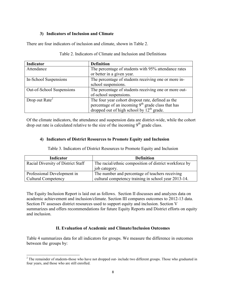# **3) Indicators of Inclusion and Climate**

There are four indicators of inclusion and climate, shown in Table 2.

| Indicator                               | <b>Definition</b>                                     |
|-----------------------------------------|-------------------------------------------------------|
| Attendance                              | The percentage of students with 95% attendance rates  |
|                                         | or better in a given year.                            |
| In-School Suspensions                   | The percentage of students receiving one or more in-  |
|                                         | school suspensions.                                   |
| Out-of-School Suspensions               | The percentage of students receiving one or more out- |
|                                         | of-school suspensions.                                |
| Drop out Rate <sup><math>2</math></sup> | The four year cohort dropout rate, defined as the     |
|                                         | percentage of an incoming $9th$ grade class that has  |
|                                         | dropped out of high school by $12^{th}$ grade.        |

Table 2. Indicators of Climate and Inclusion and Definitions

Of the climate indicators, the attendance and suspension data are district-wide, while the cohort drop out rate is calculated relative to the size of the incoming  $9<sup>th</sup>$  grade class.

# **4) Indicators of District Resources to Promote Equity and Inclusion**

Table 3. Indicators of District Resources to Promote Equity and Inclusion

| <b>Indicator</b>                   | <b>Definition</b>                                      |
|------------------------------------|--------------------------------------------------------|
| Racial Diversity of District Staff | The racial/ethnic composition of district workforce by |
|                                    | job category.                                          |
| <b>Professional Development in</b> | The number and percentage of teachers receiving        |
| <b>Cultural Competency</b>         | cultural competency training in school year 2013-14.   |

The Equity Inclusion Report is laid out as follows. Section II discusses and analyzes data on academic achievement and inclusion/climate. Section III compares outcomes to 2012-13 data. Section IV assesses district resources used to support equity and inclusion. Section V summarizes and offers recommendations for future Equity Reports and District efforts on equity and inclusion.

# **II. Evaluation of Academic and Climate/Inclusion Outcomes**

Table 4 summarizes data for all indicators for groups. We measure the difference in outcomes between the groups by:

 $\overline{a}$ 

 $2^{2}$  The remainder of students-those who have not dropped out- include two different groups. Those who graduated in four years, and those who are still enrolled.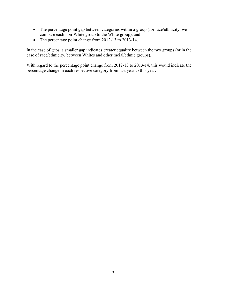- The percentage point gap between categories within a group (for race/ethnicity, we compare each non-White group to the White group), and
- The percentage point change from 2012-13 to 2013-14.

In the case of gaps, a smaller gap indicates greater equality between the two groups (or in the case of race/ethnicity, between Whites and other racial/ethnic groups).

With regard to the percentage point change from 2012-13 to 2013-14, this would indicate the percentage change in each respective category from last year to this year.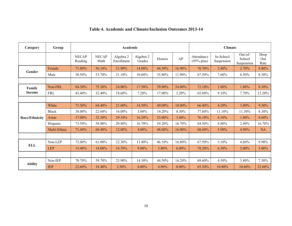| Category       | Group        |                         |                      | Academic                |                     | <b>Climate</b><br>Out-of-<br>In-School<br>Attendance<br>AP<br>School<br>Honors<br>$(95\%$ plus)<br>Suspension<br>Suspension<br>16.90%<br>2.80%<br>44.30%<br>70.70%<br>2.70%<br>11.90%<br>35.80%<br>67.50%<br>7.60%<br>6.50%<br>24.00%<br>59.90%<br>72.10%<br>1.80%<br>1.80%<br>3.20%<br>17.00%<br>65.80%<br>9.10%<br>7.70%<br>49.00%<br>18.00%<br>66.40%<br>4.20%<br>3.80%<br>8.30%<br>14.20%<br>77.60%<br>11.10%<br>11.30% |          |        |        |          |                     |  |  |  |
|----------------|--------------|-------------------------|----------------------|-------------------------|---------------------|-----------------------------------------------------------------------------------------------------------------------------------------------------------------------------------------------------------------------------------------------------------------------------------------------------------------------------------------------------------------------------------------------------------------------------|----------|--------|--------|----------|---------------------|--|--|--|
|                |              | <b>NECAP</b><br>Reading | <b>NECAP</b><br>Math | Algebra 2<br>Enrollment | Algebra 2<br>Grades |                                                                                                                                                                                                                                                                                                                                                                                                                             |          |        |        |          | Drop<br>Out<br>Rate |  |  |  |
| Gender         | Female       | 71.80%                  | 56.10%               | 21.90%                  | 14.80%              |                                                                                                                                                                                                                                                                                                                                                                                                                             |          |        |        |          | 9.80%               |  |  |  |
|                | Male         | 58.50%                  | 53.70%               | 21.10%                  | 10.60%              |                                                                                                                                                                                                                                                                                                                                                                                                                             |          |        |        |          | 8.30%               |  |  |  |
|                |              |                         |                      |                         |                     |                                                                                                                                                                                                                                                                                                                                                                                                                             |          |        |        |          |                     |  |  |  |
| Family         | Non-FRL      | 84.30%                  | 75.20%               | 24.00%                  | 17.50%              |                                                                                                                                                                                                                                                                                                                                                                                                                             |          |        |        |          | 8.30%               |  |  |  |
| Income         | <b>FRL</b>   | 43.40%                  | 32.40%               | 18.60%                  | 7.20%               |                                                                                                                                                                                                                                                                                                                                                                                                                             |          |        |        |          | 15.20%              |  |  |  |
|                |              |                         |                      |                         |                     |                                                                                                                                                                                                                                                                                                                                                                                                                             |          |        |        |          |                     |  |  |  |
|                | White        | 73.50%                  | 64.40%               | 21.60%                  | 14.50%              |                                                                                                                                                                                                                                                                                                                                                                                                                             |          |        |        |          | 9.30%               |  |  |  |
|                | <b>Black</b> | 38.00%                  | 22.60%               | 16.00%                  | 3.00%               |                                                                                                                                                                                                                                                                                                                                                                                                                             |          |        |        |          | 8.30%               |  |  |  |
| Race/Ethnicity | Asian        | 37.00%                  | 32.30%               | 29.10%                  | 16.20%              | 23.00%                                                                                                                                                                                                                                                                                                                                                                                                                      | 3.40%    | 76.10% | 4.10%  | 1.80%    | 8.60%               |  |  |  |
|                | Hispanic     | 73.50%                  | 58.00%               | 20.80%                  | 16.70%              | 54.20%                                                                                                                                                                                                                                                                                                                                                                                                                      | 16.70%   | 64.50% | 4.80%  | 2.40%    | 16.70%              |  |  |  |
|                | Multi-Ethnic | 71.40%                  | 60.40%               | 12.00%                  | 4.00%               | 48.00%                                                                                                                                                                                                                                                                                                                                                                                                                      | 16.00%   | 68.60% | 5.90%  | 4.90%    | <b>NA</b>           |  |  |  |
|                |              |                         |                      |                         |                     |                                                                                                                                                                                                                                                                                                                                                                                                                             |          |        |        |          |                     |  |  |  |
| <b>ELL</b>     | Non-LEP      | 72.00%                  | 61.00%               | 22.30%                  | 13.40%              | 46.10%                                                                                                                                                                                                                                                                                                                                                                                                                      | 16.80%   | 67.50% | 5.10%  | 4.60%    | 9.90%               |  |  |  |
|                | <b>LEP</b>   | 15.40%                  | 14.00%               | 16.70%                  | $9.00\%$            | 3.80%                                                                                                                                                                                                                                                                                                                                                                                                                       | $0.00\%$ | 78.20% | 6.30%  | $5.00\%$ | 3.00%               |  |  |  |
|                |              |                         |                      |                         |                     |                                                                                                                                                                                                                                                                                                                                                                                                                             |          |        |        |          |                     |  |  |  |
|                | Non-IEP      | 70.70%                  | 59.70%               | 23.90%                  | 14.30%              | 44.50%                                                                                                                                                                                                                                                                                                                                                                                                                      | 16.20%   | 69.60% | 4.50%  | 3.80%    | 7.30%               |  |  |  |
| <b>Ability</b> | <b>IEP</b>   | 22.60%                  | 18.40%               | 2.50%                   | $0.00\%$            | 4.90%                                                                                                                                                                                                                                                                                                                                                                                                                       | $0.00\%$ | 65.20% | 10.80% | 10.60%   | 22.60%              |  |  |  |

# **Table 4. Academic and Climate/Inclusion Outcomes 2013-14**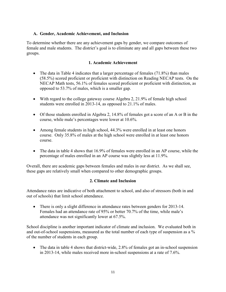# **A. Gender, Academic Achievement, and Inclusion**

To determine whether there are any achievement gaps by gender, we compare outcomes of female and male students. The district's goal is to eliminate any and all gaps between these two groups.

# **1. Academic Achievement**

- The data in Table 4 indicates that a larger percentage of females (71.8%) than males (58.5%) scored proficient or proficient with distinction on Reading NECAP tests. On the NECAP Math tests, 56.1% of females scored proficient or proficient with distinction, as opposed to 53.7% of males, which is a smaller gap.
- With regard to the college gateway course Algebra 2, 21.9% of female high school students were enrolled in 2013-14, as opposed to 21.1% of males.
- Of those students enrolled in Algebra 2, 14.8% of females got a score of an A or B in the course, while male's percentages were lower at 10.6%.
- Among female students in high school, 44.3% were enrolled in at least one honors course. Only 35.8% of males at the high school were enrolled in at least one honors course.
- The data in table 4 shows that 16.9% of females were enrolled in an AP course, while the percentage of males enrolled in an AP course was slightly less at 11.9%.

Overall, there are academic gaps between females and males in our district. As we shall see, these gaps are relatively small when compared to other demographic groups.

# **2. Climate and Inclusion**

Attendance rates are indicative of both attachment to school, and also of stressors (both in and out of schools) that limit school attendance.

• There is only a slight difference in attendance rates between genders for 2013-14. Females had an attendance rate of 95% or better 70.7% of the time, while male's attendance was not significantly lower at 67.5%.

School discipline is another important indicator of climate and inclusion. We evaluated both in and out-of-school suspensions, measured as the total number of each type of suspension as a % of the number of students in each group.

• The data in table 4 shows that district-wide, 2.8% of females got an in-school suspension in 2013-14, while males received more in-school suspensions at a rate of 7.6%.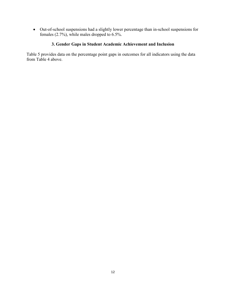• Out-of-school suspensions had a slightly lower percentage than in-school suspensions for females (2.7%), while males dropped to  $6.5\%$ .

# **3. Gender Gaps in Student Academic Achievement and Inclusion**

Table 5 provides data on the percentage point gaps in outcomes for all indicators using the data from Table 4 above.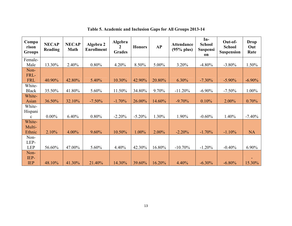| Compa<br>rison<br><b>Groups</b> | <b>NECAP</b><br>Reading | <b>NECAP</b><br><b>Math</b> | Algebra 2<br><b>Enrollment</b> | Algebra<br>2<br><b>Grades</b> | <b>Honors</b> | <b>AP</b> | <b>Attendance</b><br>$(95%$ plus) | $In-$<br><b>School</b><br><b>Suspensi</b><br>on | Out-of-<br><b>School</b><br><b>Suspension</b> | Drop<br>Out<br>Rate |
|---------------------------------|-------------------------|-----------------------------|--------------------------------|-------------------------------|---------------|-----------|-----------------------------------|-------------------------------------------------|-----------------------------------------------|---------------------|
| Female-                         |                         |                             |                                |                               |               |           |                                   |                                                 |                                               |                     |
| Male                            | 13.30%                  | 2.40%                       | 0.80%                          | 4.20%                         | 8.50%         | 5.00%     | 3.20%                             | $-4.80%$                                        | $-3.80\%$                                     | $1.50\%$            |
| Non-                            |                         |                             |                                |                               |               |           |                                   |                                                 |                                               |                     |
| FRL-                            |                         |                             |                                |                               |               |           |                                   |                                                 |                                               |                     |
| <b>FRL</b>                      | 40.90%                  | 42.80%                      | 5.40%                          | 10.30%                        | 42.90%        | 20.80%    | 6.30%                             | $-7.30\%$                                       | $-5.90\%$                                     | $-6.90\%$           |
| White-                          |                         |                             |                                |                               |               |           |                                   |                                                 |                                               |                     |
| <b>Black</b>                    | 35.50%                  | 41.80%                      | 5.60%                          | 11.50%                        | 34.80%        | 9.70%     | $-11.20%$                         | $-6.90\%$                                       | $-7.50\%$                                     | $1.00\%$            |
| White-                          |                         |                             |                                |                               |               |           |                                   |                                                 |                                               |                     |
| Asian                           | 36.50%                  | 32.10%                      | $-7.50%$                       | $-1.70%$                      | 26.00%        | 14.60%    | $-9.70%$                          | 0.10%                                           | $2.00\%$                                      | 0.70%               |
| White-                          |                         |                             |                                |                               |               |           |                                   |                                                 |                                               |                     |
| Hispani                         |                         |                             |                                |                               |               |           |                                   |                                                 |                                               |                     |
| $\mathbf{c}$                    | $0.00\%$                | 6.40%                       | 0.80%                          | $-2.20%$                      | $-5.20%$      | 1.30%     | 1.90%                             | $-0.60%$                                        | 1.40%                                         | $-7.40%$            |
| White-                          |                         |                             |                                |                               |               |           |                                   |                                                 |                                               |                     |
| Multi-                          |                         |                             |                                |                               |               |           |                                   |                                                 |                                               |                     |
| Ethnic                          | 2.10%                   | 4.00%                       | 9.60%                          | 10.50%                        | 1.00%         | 2.00%     | $-2.20%$                          | $-1.70%$                                        | $-1.10%$                                      | <b>NA</b>           |
| Non-                            |                         |                             |                                |                               |               |           |                                   |                                                 |                                               |                     |
| LEP-                            |                         |                             |                                |                               |               |           |                                   |                                                 |                                               |                     |
| <b>LEP</b>                      | 56.60%                  | 47.00%                      | 5.60%                          | 4.40%                         | 42.30%        | 16.80%    | $-10.70\%$                        | $-1.20%$                                        | $-0.40%$                                      | 6.90%               |
| Non-<br>IEP-<br><b>IEP</b>      | 48.10%                  | 41.30%                      | 21.40%                         | 14.30%                        | 39.60%        | 16.20%    | 4.40%                             | $-6.30%$                                        | $-6.80%$                                      | 15.30%              |

**Table 5. Academic and Inclusion Gaps for All Groups 2013-14**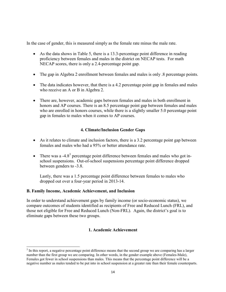In the case of gender, this is measured simply as the female rate minus the male rate.

- As the data shows in Table 5, there is a 13.3-percentage point difference in reading proficiency between females and males in the district on NECAP tests. For math NECAP scores, there is only a 2.4-percentage point gap.
- The gap in Algebra 2 enrollment between females and males is only  $\alpha$  8 percentage points.
- The data indicates however, that there is a 4.2 percentage point gap in females and males who receive an A or B in Algebra 2.
- There are, however, academic gaps between females and males in both enrollment in honors and AP courses. There is an 8.5 percentage point gap between females and males who are enrolled in honors courses, while there is a slightly smaller 5.0 percentage point gap in females to males when it comes to AP courses.

# **4. Climate/Inclusion Gender Gaps**

- As it relates to climate and inclusion factors, there is a 3.2 percentage point gap between females and males who had a 95% or better attendance rate.
- There was a  $-4.8<sup>3</sup>$  percentage point difference between females and males who got inschool suspensions. Out-of-school suspensions percentage point difference dropped between genders to -3.8.

Lastly, there was a 1.5 percentage point difference between females to males who dropped out over a four-year period in 2013-14.

#### **B. Family Income, Academic Achievement, and Inclusion**

 $\overline{a}$ 

In order to understand achievement gaps by family income (or socio-economic status), we compare outcomes of students identified as recipients of Free and Reduced Lunch (FRL), and those not eligible for Free and Reduced Lunch (Non-FRL). Again, the district's goal is to eliminate gaps between these two groups.

# **1. Academic Achievement**

 $3$  In this report, a negative percentage point difference means that the second group we are comparing has a larger number than the first group we are comparing. In other words, in the gender example above (Females-Male), Females got fewer in school suspensions than males. This means that the percentage point difference will be a negative number as males tended to be put into in school suspension at a greater rate than their female counterparts.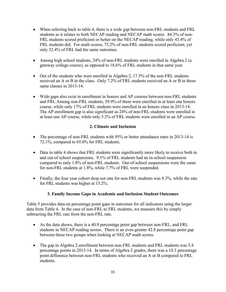- When referring back to table 4, there is a wide gap between non-FRL students and FRL students as it relates to both NECAP reading and NECAP math scores. 84.3% of non-FRL students scored proficient or better on the NECAP reading, while only 43.4% of FRL students did. For math scores, 75.2% of non-FRL students scored proficient, yet only 32.4% of FRL had the same outcomes.
- Among high school students, 24% of non-FRL students were enrolled in Algebra 2 (a gateway college course), as opposed to 18.6% of FRL students in that same year.
- Out of the students who were enrolled in Algebra 2, 17.5% of the non-FRL students received an A or B in the class. Only 7.2% of FRL students received an A or B in those same classes in 2013-14.
- Wide gaps also exist in enrollment in honors and AP courses between non-FRL students and FRL Among non-FRL students, 59.9% of them were enrolled in at least one honors course, while only 17% of FRL students were enrolled in an honors class in 2013-14. The AP enrollment gap is also significant as 24% of non-FRL students were enrolled in at least one AP course, while only 3.2% of FRL students were enrolled in an AP course.

# **2. Climate and Inclusion**

- The percentage of non-FRL students with 95% or better attendance rates in 2013-14 is 72.1%, compared to 65.8% for FRL students.
- Data in table 4 shows that FRL students were significantly more likely to receive both in and out-of school suspensions. 9.1% of FRL students had an in-school suspension compared to only 1.8% of non-FRL students. Out-of-school suspensions were the same for non-FRL students at 1.8%, while 7.7% of FRL were suspended.
- Finally, the four year cohort drop out rate for non-FRL students was 8.3%, while the rate for FRL students was higher at 15.2%.

# **3. Family Income Gaps in Academic and Inclusion Student Outcomes**

Table 5 provides data on percentage point gaps in outcomes for all indicators using the larger data from Table 4. In the case of non-FRL to FRL students, we measure this by simply subtracting the FRL rate from the non-FRL rate.

- As the data shows, there is a 40.9 percentage point gap between non-FRL, and FRL students in NECAP reading scores. There is an even greater 42.8 percentage point gap between these two groups when looking at NECAP math scores.
- The gap in Algebra 2 enrollment between non-FRL students and FRL students was 5.4 percentage points in 2013-14. In terms of Algebra 2 grades, there was a 10.3 percentage point difference between non-FRL students who received an A or B compared to FRL students.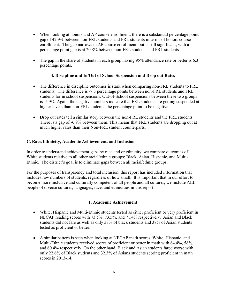- When looking at honors and AP course enrollment, there is a substantial percentage point gap of 42.9% between non-FRL students and FRL students in terms of honors course enrollment. The gap narrows in AP course enrollment, but is still significant, with a percentage point gap is at 20.8% between non-FRL students and FRL students.
- The gap in the share of students in each group having 95% attendance rate or better is 6.3 percentage points.

# **4. Discipline and In/Out of School Suspension and Drop out Rates**

- The difference in discipline outcomes is stark when comparing non-FRL students to FRL students. The difference is -7.3 percentage points between non-FRL students and FRL students for in school suspensions. Out-of-School suspensions between these two groups is -5.9%. Again, the negative numbers indicate that FRL students are getting suspended at higher levels than non-FRL students, the percentage point to be negative.
- Drop out rates tell a similar story between the non-FRL students and the FRL students. There is a gap of -6.9% between them. This means that FRL students are dropping out at much higher rates than their Non-FRL student counterparts.

#### **C. Race/Ethnicity, Academic Achievement, and Inclusion**

In order to understand achievement gaps by race and or ethnicity, we compare outcomes of White students relative to all other racial/ethnic groups: Black, Asian, Hispanic, and Multi-Ethnic. The district's goal is to eliminate gaps between all racial/ethnic groups.

For the purposes of transparency and total inclusion, this report has included information that includes raw numbers of students, regardless of how small. It is important that in our effort to become more inclusive and culturally competent of all people and all cultures, we include ALL people of diverse cultures, languages, race, and ethnicities in this report.

#### **1. Academic Achievement**

- White, Hispanic and Multi-Ethnic students tested as either proficient or very proficient in NECAP reading scores with 73.5%, 73.5%, and 71.4% respectively. Asian and Black students did not fare as well as only 38% of black students and 37% of Asian students tested as proficient or better.
- A similar pattern is seen when looking at NECAP math scores. White, Hispanic, and Multi-Ethnic students received scores of proficient or better in math with 64.4%, 58%, and 60.4% respectively. On the other hand, Black and Asian students fared worse with only 22.6% of Black students and 32.3% of Asians students scoring proficient in math scores in 2013-14.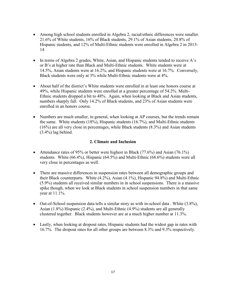- Among high school students enrolled in Algebra 2, racial/ethnic differences were smaller. 21.6% of White students, 16% of Black students, 29.1% of Asian students, 20.8% of Hispanic students, and 12% of Multi-Ethnic students were enrolled in Algebra 2 in 2013- 14
- In terms of Algebra 2 grades, White, Asian, and Hispanic students tended to receive A's or B's at higher rate than Black and Multi-Ethnic students. White students were at 14.5%, Asian students were at 16.2%, and Hispanic students were at 16.7%. Conversely, Black students were only at 3% while Multi-Ethnic students were at 4%.
- About half of the district's White students were enrolled in at least one honors course at 49%, while Hispanic students were enrolled at a greater percentage of 54.2%. Multi-Ethnic students dropped a bit to 48%. Again, when looking at Black and Asian students, numbers sharply fall. Only 14.2% of Black students, and 23% of Asian students were enrolled in an honors course.
- Numbers are much smaller, in general, when looking at AP courses, but the trends remain the same. White students (18%), Hispanic students (16.7%), and Multi-Ethnic students (16%) are all very close in percentages, while Black students (8.3%) and Asian students (3.4%) lag behind.

# **2. Climate and Inclusion**

- Attendance rates of 95% or better were highest in Black (77.6%) and Asian (76.1%) students. White (66.4%), Hispanic (64.5%) and Multi-Ethnic (68.6%) students were all very close in percentages as well.
- There are massive differences in suspension rates between all demographic groups and their Black counterparts. White (4.2%), Asian (4.1%), Hispanic 94.8%) and Multi-Ethnic (5.9%) students all received similar numbers in in school suspensions. There is a massive spike though, when we look at Black students in school suspension numbers in that same year at 11.1%.
- Out-of-School suspension data tells a similar story as with in-school data. White  $(3.8\%)$ , Asian (1.8%) Hispanic (2.4%), and Multi-Ethnic (4.9%) students are all generally clustered together. Black students however are at a much higher number at 11.3%.
- Lastly, when looking at dropout rates, Hispanic students had the widest gap in rates with 16.7%. The dropout rates for all other groups are between 8.3% and 9.3% respectively.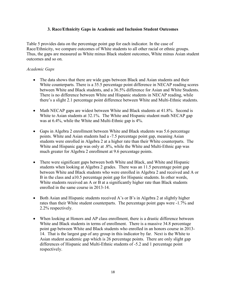#### **3. Race/Ethnicity Gaps in Academic and Inclusion Student Outcomes**

Table 5 provides data on the percentage point gap for each indicator. In the case of Race/Ethnicity, we compare outcomes of White students to all other racial or ethnic groups. Thus, the gaps are measured as White minus Black student outcomes, White minus Asian student outcomes and so on.

#### *Academic Gaps*

- The data shows that there are wide gaps between Black and Asian students and their White counterparts. There is a 35.5 percentage point difference in NECAP reading scores between White and Black students, and a 36.5% difference for Asian and White Students. There is no difference between White and Hispanic students in NECAP reading, while there's a slight 2.1 percentage point difference between White and Multi-Ethnic students.
- Math NECAP gaps are widest between White and Black students at 41.8%. Second is White to Asian students at 32.1%. The White and Hispanic student math NECAP gap was at 6.4%, while the White and Multi-Ethnic gap is 4%.
- Gaps in Algebra 2 enrollment between White and Black students was 5.6 percentage points. White and Asian students had a -7.5 percentage point gap, meaning Asian students were enrolled in Algebra 2 at a higher rate than their White counterparts. The White and Hispanic gap was only at .8%, while the White and Multi-Ethnic gap was much greater for Algebra 2 enrollment at 9.6 percentage points.
- There were significant gaps between both White and Black, and White and Hispanic students when looking at Algebra 2 grades. There was an 11.5 percentage point gap between White and Black students who were enrolled in Algebra 2 and received and A or B in the class and a10.5 percentage point gap for Hispanic students. In other words, White students received an A or B at a significantly higher rate than Black students enrolled in the same course in 2013-14.
- Both Asian and Hispanic students received A's or B's in Algebra 2 at slightly higher rates than their White student counterparts. The percentage point gaps were -1.7% and 2.2% respectively.
- When looking at Honors and AP class enrollment, there is a drastic difference between White and Black students in terms of enrollment. There is a massive 34.8 percentage point gap between White and Black students who enrolled in an honors course in 2013- 14. That is the largest gap of any group in this indicator by far. Next is the White to Asian student academic gap which is 26 percentage points. There are only slight gap differences of Hispanic and Multi-Ethnic students of -5.2 and 1 percentage point respectively.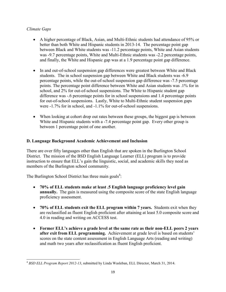# *Climate Gaps*

 $\overline{a}$ 

- A higher percentage of Black, Asian, and Multi-Ethnic students had attendance of 95% or better than both White and Hispanic students in 2013-14. The percentage point gap between Black and White students was -11.2 percentage points, White and Asian students was -9.7 percentage points, White and Multi-Ethnic students was -2.2 percentage points, and finally, the White and Hispanic gap was at a 1.9 percentage point gap difference.
- In and out-of-school suspension gap differences were greatest between White and Black students. The in school suspension gap between White and Black students was -6.9 percentage points, while the out-of-school suspension gap difference was -7.5 percentage points. The percentage point difference between White and Asian students was .1% for in school, and 2% for out-of-school suspensions. The White to Hispanic student gap difference was -.6 percentage points for in school suspensions and 1.4 percentage points for out-of-school suspensions. Lastly, White to Multi-Ethnic student suspension gaps were -1.7% for in school, and -1.1% for out-of-school suspensions.
- When looking at cohort drop out rates between these groups, the biggest gap is between White and Hispanic students with a -7.4 percentage point gap. Every other group is between 1 percentage point of one another.

# **D. Language Background Academic Achievement and Inclusion**

There are over fifty languages other than English that are spoken in the Burlington School District. The mission of the BSD English Language Learner (ELL) program is to provide instruction to ensure that ELL's gain the linguistic, social, and academic skills they need as members of the Burlington school community.

The Burlington School District has three main goals<sup>4</sup>:

- **70% of ELL students make at least .5 English language proficiency level gain annually.** The gain is measured using the composite score of the state English language proficiency assessment.
- **70% of ELL students exit the ELL program within 7 years.** Students exit when they are reclassified as fluent English proficient after attaining at least 5.0 composite score and 4.0 in reading and writing on ACCESS test.
- **Former ELL's achieve a grade level at the same rate as their non-ELL peers 2 years after exit from ELL programming.** Achievement at grade level is based on students' scores on the state content assessment in English Language Arts (reading and writing) and math two years after reclassification as fluent English proficient.

<sup>4</sup> *BSD ELL Program Report 2012-13*, submitted by Linda Wasleban, ELL Director, March 31, 2014.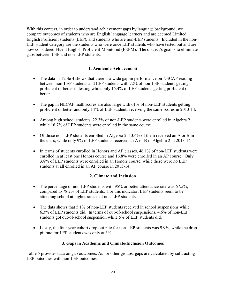With this context, in order to understand achievement gaps by language background, we compare outcomes of students who are English language learners and are deemed Limited English Proficient students (LEP), and students who are non-LEP students. Included in the non-LEP student category are the students who were once LEP students who have tested out and are now considered Fluent English Proficient-Monitored (FEPM). The district's goal is to eliminate gaps between LEP and non-LEP students.

# **1. Academic Achievement**

- The data in Table 4 shows that there is a wide gap in performance on NECAP reading between non-LEP students and LEP students with 72% of non-LEP students getting proficient or better in testing while only 15.4% of LEP students getting proficient or better.
- The gap in NECAP math scores are also large with 61% of non-LEP students getting proficient or better and only 14% of LEP students receiving the same scores in 2013-14.
- Among high school students, 22.3% of non-LEP students were enrolled in Algebra 2, while 16.7% of LEP students were enrolled in the same course.
- Of those non-LEP students enrolled in Algebra 2, 13.4% of them received an A or B in the class, while only 9% of LEP students received an A or B in Algebra 2 in 2013-14.
- In terms of students enrolled in Honors and AP classes, 46.1% of non-LEP students were enrolled in at least one Honors course and 16.8% were enrolled in an AP course. Only 3.8% of LEP students were enrolled in an Honors course, while there were no LEP students at all enrolled in an AP course in 2013-14.

# **2. Climate and Inclusion**

- The percentage of non-LEP students with 95% or better attendance rate was 67.5%, compared to 78.2% of LEP students. For this indicator, LEP students seem to be attending school at higher rates that non-LEP students.
- The data shows that 5.1% of non-LEP students received in school suspensions while 6.3% of LEP students did. In terms of out-of-school suspensions, 4.6% of non-LEP students got out-of-school suspension while 5% of LEP students did.
- Lastly, the four year cohort drop out rate for non-LEP students was 9.9%, while the drop pit rate for LEP students was only at 3%.

# **3. Gaps in Academic and Climate/Inclusion Outcomes**

Table 5 provides data on gap outcomes. As for other groups, gaps are calculated by subtracting LEP outcomes with non-LEP outcomes.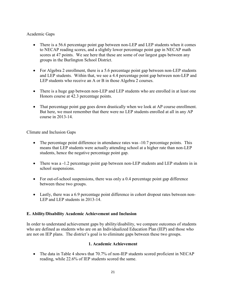# Academic Gaps

- There is a 56.6 percentage point gap between non-LEP and LEP students when it comes to NECAP reading scores, and a slightly lower percentage point gap in NECAP math scores at 47 points. We see here that these are some of our largest gaps between any groups in the Burlington School District.
- For Algebra 2 enrollment, there is a 5.6 percentage point gap between non-LEP students and LEP students. Within that, we see a 4.4 percentage point gap between non-LEP and LEP students who receive an A or B in those Algebra 2 courses.
- There is a huge gap between non-LEP and LEP students who are enrolled in at least one Honors course at 42.3 percentage points.
- That percentage point gap goes down drastically when we look at AP course enrollment. But here, we must remember that there were no LEP students enrolled at all in any AP course in 2013-14.

Climate and Inclusion Gaps

- The percentage point difference in attendance rates was -10.7 percentage points. This means that LEP students were actually attending school at a higher rate than non-LEP students, hence the negative percentage point gap.
- There was a -1.2 percentage point gap between non-LEP students and LEP students in in school suspensions.
- For out-of-school suspensions, there was only a 0.4 percentage point gap difference between these two groups.
- Lastly, there was a 6.9 percentage point difference in cohort dropout rates between non-LEP and LEP students in 2013-14.

# **E. Ability/Disability Academic Achievement and Inclusion**

In order to understand achievement gaps by ability/disability, we compare outcomes of students who are defined as students who are on an Individualized Education Plan (IEP) and those who are not on IEP plans. The district's goal is to eliminate gaps between these two groups.

# **1. Academic Achievement**

• The data in Table 4 shows that 70.7% of non-IEP students scored proficient in NECAP reading, while 22.6% of IEP students scored the same.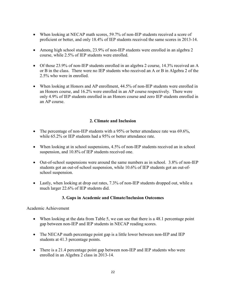- When looking at NECAP math scores, 59.7% of non-IEP students received a score of proficient or better, and only 18.4% of IEP students received the same scores in 2013-14.
- Among high school students, 23.9% of non-IEP students were enrolled in an algebra 2 course, while 2.5% of IEP students were enrolled.
- Of those 23.9% of non-IEP students enrolled in an algebra 2 course, 14.3% received an A or B in the class. There were no IEP students who received an A or B in Algebra 2 of the 2.5% who were in enrolled.
- When looking at Honors and AP enrollment, 44.5% of non-IEP students were enrolled in an Honors course, and 16.2% were enrolled in an AP course respectively. There were only 4.9% of IEP students enrolled in an Honors course and zero IEP students enrolled in an AP course.

# **2. Climate and Inclusion**

- The percentage of non-IEP students with a 95% or better attendance rate was  $69.6\%$ , while 65.2% or IEP students had a 95% or better attendance rate.
- When looking at in school suspensions, 4.5% of non-IEP students received an in school suspension, and 10.8% of IEP students received one.
- Out-of-school suspensions were around the same numbers as in school. 3.8% of non-IEP students got an out-of-school suspension, while 10.6% of IEP students got an out-ofschool suspension.
- Lastly, when looking at drop out rates, 7.3% of non-IEP students dropped out, while a much larger 22.6% of IEP students did.

# **3. Gaps in Academic and Climate/Inclusion Outcomes**

# Academic Achievement

- When looking at the data from Table 5, we can see that there is a 48.1 percentage point gap between non-IEP and IEP students in NECAP reading scores.
- The NECAP math percentage point gap is a little lower between non-IEP and IEP students at 41.3 percentage points.
- There is a 21.4 percentage point gap between non-IEP and IEP students who were enrolled in an Algebra 2 class in 2013-14.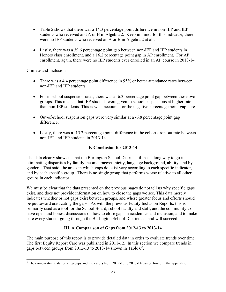- Table 5 shows that there was a 14.3 percentage point difference in non-IEP and IEP students who received and A or B in Algebra 2. Keep in mind, for this indicator, there were no IEP students who received an A or B in Algebra 2 at all.
- Lastly, there was a 39.6 percentage point gap between non-IEP and IEP students in Honors class enrollment, and a 16.2 percentage point gap in AP enrollment. For AP enrollment, again, there were no IEP students ever enrolled in an AP course in 2013-14.

Climate and Inclusion

 $\overline{a}$ 

- There was a 4.4 percentage point difference in 95% or better attendance rates between non-IEP and IEP students.
- For in school suspension rates, there was a -6.3 percentage point gap between these two groups. This means, that IEP students were given in school suspensions at higher rate than non-IEP students. This is what accounts for the negative percentage point gap here.
- Out-of-school suspension gaps were very similar at a -6.8 percentage point gap difference.
- Lastly, there was a -15.3 percentage point difference in the cohort drop out rate between non-IEP and IEP students in 2013-14.

# **F. Conclusion for 2013-14**

The data clearly shows us that the Burlington School District still has a long way to go in eliminating disparities by family income, race/ethnicity, language background, ability, and by gender. That said, the areas in which gaps do exist vary according to each specific indicator, and by each specific group. There is no single group that performs worse relative to all other groups in each indicator.

We must be clear that the data presented on the previous pages do not tell us why specific gaps exist, and does not provide information on how to close the gaps we see. This data merely indicates whether or not gaps exist between groups, and where greater focus and efforts should be put toward eradicating the gaps. As with the previous Equity Inclusion Reports, this is primarily used as a tool for the School Board, school faculty and staff, and the community to have open and honest discussions on how to close gaps in academics and inclusion, and to make sure every student going through the Burlington School District can and will succeed.

# **III. A Comparison of Gaps from 2012-13 to 2013-14**

The main purpose of this report is to provide detailed data in order to evaluate trends over time. The first Equity Report Card was published in 2011-12. In this section we compare trends in gaps between groups from 2012-13 to 2013-14 shown in Table  $6<sup>5</sup>$ .

 $<sup>5</sup>$  The comparative data for all groups and indicators from 2012-13 to 2013-14 can be found in the appendix.</sup>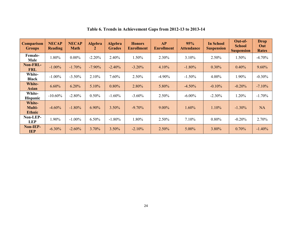| <b>Comparison</b><br><b>Groups</b>       | <b>NECAP</b><br><b>Reading</b> | <b>NECAP</b><br><b>Math</b> | <b>Algebra</b><br>2 | <b>Algebra</b><br><b>Grades</b> | <b>Honors</b><br><b>Enrollment</b> | <b>AP</b><br><b>Enrollment</b> | 95%<br><b>Attendance</b> | <b>In School</b><br><b>Suspension</b> | Out-of-<br><b>School</b><br><b>Suspension</b> | <b>Drop</b><br>Out<br><b>Rates</b> |
|------------------------------------------|--------------------------------|-----------------------------|---------------------|---------------------------------|------------------------------------|--------------------------------|--------------------------|---------------------------------------|-----------------------------------------------|------------------------------------|
| <b>Female-</b><br>Male                   | 1.80%                          | $0.00\%$                    | $-2.20%$            | 2.40%                           | 1.50%                              | 2.30%                          | 3.10%                    | 2.50%                                 | 1.50%                                         | $-4.70%$                           |
| <b>Non-FRL-</b><br><b>FRL</b>            | $-1.00\%$                      | $-1.70%$                    | $-7.90\%$           | $-2.40%$                        | $-3.20\%$                          | 4.10%                          | $-1.80\%$                | $0.30\%$                              | 0.40%                                         | $9.60\%$                           |
| White-<br><b>Black</b>                   | $-1.00\%$                      | $-3.50\%$                   | 2.10%               | 7.60%                           | 2.50%                              | $-4.90\%$                      | $-1.50\%$                | $4.00\%$                              | 1.90%                                         | $-0.30%$                           |
| <b>White-</b><br>Asian                   | 6.60%                          | 6.20%                       | 5.10%               | 0.80%                           | 2.80%                              | 5.80%                          | $-4.50%$                 | $-0.10%$                              | $-0.20%$                                      | $-7.10%$                           |
| White-<br><b>Hispanic</b>                | $-10.60\%$                     | $-2.80%$                    | 0.50%               | $-1.60%$                        | $-3.60\%$                          | $2.50\%$                       | $-6.00\%$                | $-2.30\%$                             | 1.20%                                         | $-1.70%$                           |
| <b>White-</b><br>Multi-<br><b>Ethnic</b> | $-4.60%$                       | $-1.80%$                    | 6.90%               | $3.50\%$                        | $-9.70\%$                          | $9.00\%$                       | 1.60%                    | 1.10%                                 | $-1.30\%$                                     | <b>NA</b>                          |
| Non-LEP-<br><b>LEP</b>                   | 1.90%                          | $-1.00\%$                   | 6.50%               | $-1.80%$                        | 1.80%                              | 2.50%                          | 7.10%                    | $0.80\%$                              | $-0.20%$                                      | 2.70%                              |
| Non-IEP-<br><b>IEP</b>                   | $-6.30\%$                      | $-2.60\%$                   | $3.70\%$            | $3.50\%$                        | $-2.10%$                           | $2.50\%$                       | $5.00\%$                 | 3.80%                                 | $0.70\%$                                      | $-1.40%$                           |

#### **Table 6. Trends in Achievement Gaps from 2012-13 to 2013-14**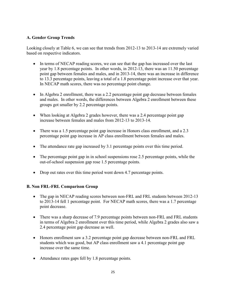# **A. Gender Group Trends**

Looking closely at Table 6, we can see that trends from 2012-13 to 2013-14 are extremely varied based on respective indicators.

- In terms of NECAP reading scores, we can see that the gap has increased over the last year by 1.8 percentage points. In other words, in 2012-13, there was an 11.50 percentage point gap between females and males, and in 2013-14, there was an increase in difference to 13.3 percentage points, leaving a total of a 1.8 percentage point increase over that year. In NECAP math scores, there was no percentage point change.
- In Algebra 2 enrollment, there was a 2.2 percentage point gap decrease between females and males. In other words, the differences between Algebra 2 enrollment between these groups got smaller by 2.2 percentage points.
- When looking at Algebra 2 grades however, there was a 2.4 percentage point gap increase between females and males from 2012-13 to 2013-14.
- There was a 1.5 percentage point gap increase in Honors class enrollment, and a 2.3 percentage point gap increase in AP class enrollment between females and males.
- The attendance rate gap increased by 3.1 percentage points over this time period.
- The percentage point gap in in school suspensions rose 2.5 percentage points, while the out-of-school suspension gap rose 1.5 percentage points.
- Drop out rates over this time period went down 4.7 percentage points.

# **B. Non FRL-FRL Comparison Group**

- The gap in NECAP reading scores between non-FRL and FRL students between 2012-13 to 2013-14 fell 1 percentage point. For NECAP math scores, there was a 1.7 percentage point decrease.
- There was a sharp decrease of 7.9 percentage points between non-FRL and FRL students in terms of Algebra 2 enrollment over this time period, while Algebra 2 grades also saw a 2.4 percentage point gap decrease as well.
- Honors enrollment saw a 3.2 percentage point gap decrease between non-FRL and FRL students which was good, but AP class enrollment saw a 4.1 percentage point gap increase over the same time.
- Attendance rates gaps fell by 1.8 percentage points.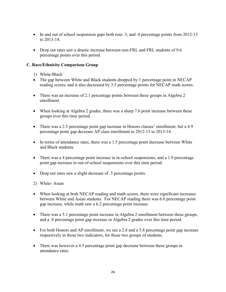- In and out of school suspension gaps both rose .3, and .4 percentage points from 2012-13 to 2013-14.
- Drop out rates saw a drastic increase between non-FRL and FRL students of 9.6 percentage points over this period.

#### **C. Race/Ethnicity Comparison Group**

- 1) White-Black
- The gap between White and Black students dropped by 1 percentage point in NECAP reading scores, and it also decreased by 3.5 percentage points for NECAP math scores.
- There was an increase of 2.1 percentage points between these groups in Algebra 2 enrollment.
- When looking at Algebra 2 grades, there was a sharp 7.6 point increase between these groups over this time period.
- There was a 2.5 percentage point gap increase in Honors classes' enrollment, but a 4.9 percentage point gap decrease AP class enrollment in 2012-13 to 2013-14.
- In terms of attendance rates, there was a 1.5 percentage point decrease between White and Black students.
- There was a 4 percentage point increase in in-school suspensions, and a 1.9 percentage point gap increase in out-of-school suspensions over this time period.
- Drop out rates saw a slight decrease of .3 percentage points.
- 2) White- Asian
- When looking at both NECAP reading and math scores, there were significant increases between White and Asian students. For NECAP reading there was 6.6 percentage point gap increase, while math saw a 6.2 percentage point increase.
- There was a 5.1 percentage point increase in Algebra 2 enrollment between these groups, and a .8 percentage point gap increase in Algebra 2 grades over this time period.
- For both Honors and AP enrollment, we see a 2.8 and a 5.8 percentage point gap increase respectively in those two indicators, for those two groups of students.
- There was however a 4.5 percentage point gap decrease between these groups in attendance rates.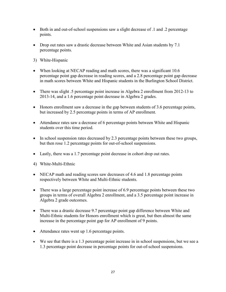- Both in and out-of-school suspensions saw a slight decrease of  $\alpha$  and  $\alpha$  percentage points.
- Drop out rates saw a drastic decrease between White and Asian students by 7.1 percentage points.
- 3) White-Hispanic
- When looking at NECAP reading and math scores, there was a significant 10.6 percentage point gap decrease in reading scores, and a 2.8 percentage point gap decrease in math scores between White and Hispanic students in the Burlington School District.
- There was slight .5 percentage point increase in Algebra 2 enrollment from 2012-13 to 2013-14, and a 1.6 percentage point decrease in Algebra 2 grades.
- Honors enrollment saw a decrease in the gap between students of 3.6 percentage points, but increased by 2.5 percentage points in terms of AP enrollment.
- Attendance rates saw a decrease of 6 percentage points between White and Hispanic students over this time period.
- In school suspension rates decreased by 2.3 percentage points between these two groups, but then rose 1.2 percentage points for out-of-school suspensions.
- Lastly, there was a 1.7 percentage point decrease in cohort drop out rates.
- 4) White-Multi-Ethnic
- NECAP math and reading scores saw decreases of 4.6 and 1.8 percentage points respectively between White and Multi-Ethnic students.
- There was a large percentage point increase of 6.9 percentage points between these two groups in terms of overall Algebra 2 enrollment, and a 3.5 percentage point increase in Algebra 2 grade outcomes.
- There was a drastic decrease 9.7 percentage point gap difference between White and Multi-Ethnic students for Honors enrollment which is great, but then almost the same increase in the percentage point gap for AP enrollment of 9 points.
- Attendance rates went up 1.6 percentage points.
- We see that there is a 1.3 percentage point increase in in school suspensions, but we see a 1.3 percentage point decrease in percentage points for out-of-school suspensions.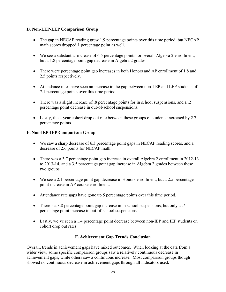# **D. Non-LEP-LEP Comparison Group**

- The gap in NECAP reading grew 1.9 percentage points over this time period, but NECAP math scores dropped 1 percentage point as well.
- We see a substantial increase of 6.5 percentage points for overall Algebra 2 enrollment, but a 1.8 percentage point gap decrease in Algebra 2 grades.
- There were percentage point gap increases in both Honors and AP enrollment of 1.8 and 2.5 points respectively.
- Attendance rates have seen an increase in the gap between non-LEP and LEP students of 7.1 percentage points over this time period.
- There was a slight increase of 8 percentage points for in school suspensions, and a .2 percentage point decrease in out-of-school suspensions.
- Lastly, the 4 year cohort drop out rate between these groups of students increased by 2.7 percentage points.

# **E. Non-IEP-IEP Comparison Group**

- We saw a sharp decrease of 6.3 percentage point gaps in NECAP reading scores, and a decrease of 2.6 points for NECAP math.
- There was a 3.7 percentage point gap increase in overall Algebra 2 enrollment in 2012-13 to 2013-14, and a 3.5 percentage point gap increase in Algebra 2 grades between these two groups.
- We see a 2.1 percentage point gap decrease in Honors enrollment, but a 2.5 percentage point increase in AP course enrollment.
- Attendance rate gaps have gone up 5 percentage points over this time period.
- There's a 3.8 percentage point gap increase in in school suspensions, but only a .7 percentage point increase in out-of-school suspensions.
- Lastly, we've seen a 1.4 percentage point decrease between non-IEP and IEP students on cohort drop out rates.

# **F. Achievement Gap Trends Conclusion**

Overall, trends in achievement gaps have mixed outcomes. When looking at the data from a wider view, some specific comparison groups saw a relatively continuous decrease in achievement gaps, while others saw a continuous increase. Most comparison groups though showed no continuous decrease in achievement gaps through all indicators used.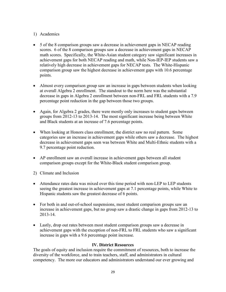# 1) Academics

- 5 of the 8 comparison groups saw a decrease in achievement gaps in NECAP reading scores. 6 of the 8 comparison groups saw a decrease in achievement gaps in NECAP math scores. Specifically, the White-Asian student category saw significant increases in achievement gaps for both NECAP reading and math, while Non-IEP-IEP students saw a relatively high decrease in achievement gaps for NECAP tests. The White-Hispanic comparison group saw the highest decrease in achievement gaps with 10.6 percentage points.
- Almost every comparison group saw an increase in gaps between students when looking at overall Algebra 2 enrollment. The standout to the norm here was the substantial decrease in gaps in Algebra 2 enrollment between non-FRL and FRL students with a 7.9 percentage point reduction in the gap between those two groups.
- Again, for Algebra 2 grades, there were mostly only increases to student gaps between groups from 2012-13 to 2013-14. The most significant increase being between White and Black students at an increase of 7.6 percentage points.
- When looking at Honors class enrollment, the district saw no real pattern. Some categories saw an increase in achievement gaps while others saw a decrease. The highest decrease in achievement gaps seen was between White and Multi-Ethnic students with a 9.7 percentage point reduction.
- AP enrollment saw an overall increase in achievement gaps between all student comparison groups except for the White-Black student comparison group.
- 2) Climate and Inclusion
- Attendance rates data was mixed over this time period with non-LEP to LEP students seeing the greatest increase in achievement gaps at 7.1 percentage points, while White to Hispanic students saw the greatest decrease of 6 points.
- For both in and out-of-school suspensions, most student comparison groups saw an increase in achievement gaps, but no group saw a drastic change in gaps from 2012-13 to 2013-14.
- Lastly, drop out rates between most student comparison groups saw a decrease in achievement gaps with the exception of non-FRL to FRL students who saw a significant increase in gaps with a 9.6 percentage point increase.

# **IV. District Resources**

The goals of equity and inclusion require the commitment of resources, both to increase the diversity of the workforce, and to train teachers, staff, and administrators in cultural competency. The more our educators and administrators understand our ever growing and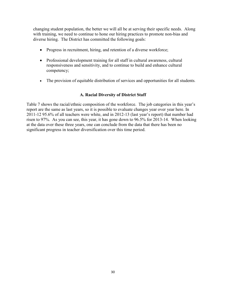changing student population, the better we will all be at serving their specific needs. Along with training, we need to continue to hone our hiring practices to promote non-bias and diverse hiring. The District has committed the following goals:

- Progress in recruitment, hiring, and retention of a diverse workforce;
- Professional development training for all staff in cultural awareness, cultural responsiveness and sensitivity, and to continue to build and enhance cultural competency;
- The provision of equitable distribution of services and opportunities for all students.

# **A. Racial Diversity of District Staff**

Table 7 shows the racial/ethnic composition of the workforce. The job categories in this year's report are the same as last years, so it is possible to evaluate changes year over year here. In 2011-12 95.6% of all teachers were white, and in 2012-13 (last year's report) that number had risen to 97%. As you can see, this year, it has gone down to 96.5% for 2013-14. When looking at the data over these three years, one can conclude from the data that there has been no significant progress in teacher diversification over this time period.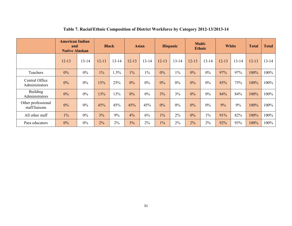|                                      | <b>American Indian</b><br>and<br><b>Native Alaskan</b> |       | <b>Black</b> |           | <b>Asian</b> |           | <b>Hispanic</b> |           | Multi-<br><b>Ethnic</b> |           | <b>White</b> |           | <b>Total</b> | <b>Total</b> |
|--------------------------------------|--------------------------------------------------------|-------|--------------|-----------|--------------|-----------|-----------------|-----------|-------------------------|-----------|--------------|-----------|--------------|--------------|
|                                      | $12 - 13$                                              | 13-14 | $12 - 13$    | $13 - 14$ | $12 - 13$    | $13 - 14$ | $12 - 13$       | $13 - 14$ | $12 - 13$               | $13 - 14$ | $12 - 13$    | $13 - 14$ | $12 - 13$    | $13 - 14$    |
| Teachers                             | $0\%$                                                  | $0\%$ | $1\%$        | 1.5%      | $1\%$        | $1\%$     | $0\%$           | $1\%$     | 0%                      | $0\%$     | 97%          | 97%       | 100%         | 100%         |
| Central Office<br>Administrators     | 0%                                                     | $0\%$ | 15%          | 25%       | $0\%$        | $0\%$     | 0%              | $0\%$     | $0\%$                   | $0\%$     | 85%          | 75%       | 100%         | 100%         |
| Building<br>Administrators           | $0\%$                                                  | $0\%$ | 13%          | 13%       | $0\%$        | $0\%$     | 3%              | 3%        | 0%                      | $0\%$     | 84%          | 84%       | 100%         | 100%         |
| Other professional<br>staff/liaisons | $0\%$                                                  | $0\%$ | 45%          | 45%       | 45%          | 45%       | 0%              | $0\%$     | $0\%$                   | $0\%$     | 9%           | 9%        | 100%         | 100%         |
| All other staff                      | $1\%$                                                  | $0\%$ | 3%           | 9%        | 4%           | 6%        | $1\%$           | 2%        | 0%                      | $1\%$     | 91%          | 82%       | 100%         | 100%         |
| Para educators                       | 0%                                                     | $0\%$ | 2%           | 2%        | 3%           | 2%        | 1%              | 2%        | 2%                      | $2\%$     | 92%          | 93%       | 100%         | 100%         |

#### **Table 7. Racial/Ethnic Composition of District Workforce by Category 2012-13/2013-14**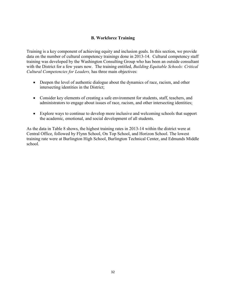# **B. Workforce Training**

Training is a key component of achieving equity and inclusion goals. In this section, we provide data on the number of cultural competency trainings done in 2013-14. Cultural competency staff training was developed by the Washington Consulting Group who has been an outside consultant with the District for a few years now. The training entitled, *Building Equitable Schools: Critical Cultural Competencies for Leaders,* has three main objectives:

- Deepen the level of authentic dialogue about the dynamics of race, racism, and other intersecting identities in the District;
- Consider key elements of creating a safe environment for students, staff, teachers, and administrators to engage about issues of race, racism, and other intersecting identities;
- Explore ways to continue to develop more inclusive and welcoming schools that support the academic, emotional, and social development of all students.

As the data in Table 8 shows, the highest training rates in 2013-14 within the district were at Central Office, followed by Flynn School, On Top School, and Horizon School. The lowest training rate were at Burlington High School, Burlington Technical Center, and Edmunds Middle school.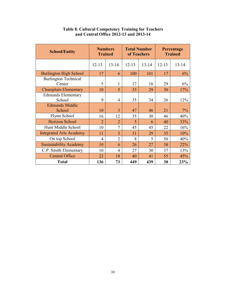| <b>School/Entity</b>                  | <b>Trained</b> | <b>Numbers</b> | <b>Total Number</b><br>of Teachers |           |           | Percentage<br><b>Trained</b> |
|---------------------------------------|----------------|----------------|------------------------------------|-----------|-----------|------------------------------|
|                                       | $12 - 13$      | $13 - 14$      | $12 - 13$                          | $13 - 14$ | $12 - 13$ | $13 - 14$                    |
| <b>Burlington High School</b>         | 17             | 6              | 100                                | 101       | 17        | 6%                           |
| <b>Burlington Technical</b><br>Center | 5              | 1              | 17                                 | 16        | 29        | 6%                           |
| <b>Champlain Elementary</b>           | 10             | 5              | 33                                 | 29        | 30        | 17%                          |
| <b>Edmunds Elementary</b><br>School   | 9              | 4              | 35                                 | 34        | 26        | 12%                          |
| <b>Edmunds Middle</b><br>School       | 10             | 3              | 47                                 | 46        | 21        | 7%                           |
| Flynn School                          | 16             | 12             | 35                                 | 30        | 46        | 40%                          |
| Horizon School                        | $\overline{2}$ | $\overline{2}$ | 5                                  | 6         | 40        | 33%                          |
| Hunt Middle School                    | 10             | $\overline{7}$ | 45                                 | 45        | 22        | 16%                          |
| <b>Integrated Arts Academy</b>        | 11             | 3              | 31                                 | 29        | 35        | 10%                          |
| On top School                         | $\overline{4}$ | $\overline{2}$ | 8                                  | 5         | 50        | 40%                          |
| <b>Sustainability Academy</b>         | 10             | 6              | 26                                 | 27        | 38        | 22%                          |
| C.P. Smith Elementary                 | 10             | $\overline{4}$ | 27                                 | 30        | 37        | 13%                          |
| <b>Central Office</b>                 | 22             | 18             | 40                                 | 41        | 55        | 45%                          |
| <b>Total</b>                          | 136            | 73             | 449                                | 439       | 30        | 23%                          |

#### **Table 8. Cultural Competency Training for Teachers and Central Office 2012-13 and 2013-14**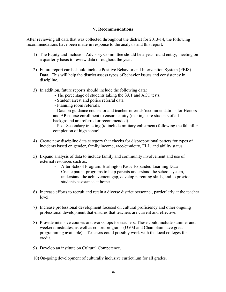#### **V. Recommendations**

After reviewing all data that was collected throughout the district for 2013-14, the following recommendations have been made in response to the analysis and this report.

- 1) The Equity and Inclusion Advisory Committee should be a year-round entity, meeting on a quarterly basis to review data throughout the year.
- 2) Future report cards should include Positive Behavior and Intervention System (PBIS) Data. This will help the district assess types of behavior issues and consistency in discipline.
- 3) In addition, future reports should include the following data:
	- The percentage of students taking the SAT and ACT tests.
	- Student arrest and police referral data.
	- Planning room referrals.

 - Data on guidance counselor and teacher referrals/recommendations for Honors and AP course enrollment to ensure equity (making sure students of all background are referred or recommended).

 - Post-Secondary tracking (to include military enlistment) following the fall after completion of high school.

- 4) Create new discipline data category that checks for disproportional patters for types of incidents based on gender, family income, race/ethnicity, ELL, and ability status.
- 5) Expand analysis of data to include family and community involvement and use of external resources such as:
	- After School Program: Burlington Kids/ Expanded Learning Data
	- Create parent programs to help parents understand the school system, understand the achievement gap, develop parenting skills, and to provide students assistance at home.
- 6) Increase efforts to recruit and retain a diverse district personnel, particularly at the teacher level.
- 7) Increase professional development focused on cultural proficiency and other ongoing professional development that ensures that teachers are current and effective.
- 8) Provide intensive courses and workshops for teachers. These could include summer and weekend institutes, as well as cohort programs (UVM and Champlain have great programming available). Teachers could possibly work with the local colleges for credit.
- 9) Develop an institute on Cultural Competence.
- 10) On-going development of culturally inclusive curriculum for all grades.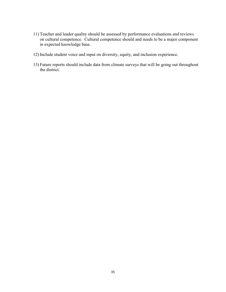- 11) Teacher and leader quality should be assessed by performance evaluations and reviews on cultural competence. Cultural competence should and needs to be a major component in expected knowledge base.
- 12) Include student voice and input on diversity, equity, and inclusion experience.
- 13) Future reports should include data from climate surveys that will be going out throughout the district.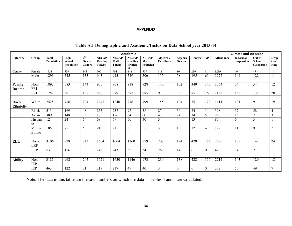#### **APPENDIX**

|                           |                          |                            |                              |                                    |                                          |                                       | Academic                                  |                                   |                                |                   |               |                  |                   | <b>Climate and Inclusion</b>          |                                               |                     |
|---------------------------|--------------------------|----------------------------|------------------------------|------------------------------------|------------------------------------------|---------------------------------------|-------------------------------------------|-----------------------------------|--------------------------------|-------------------|---------------|------------------|-------------------|---------------------------------------|-----------------------------------------------|---------------------|
| Category                  | Group                    | <b>Total</b><br>Population | High<br>School<br>Population | 9 <sup>th</sup><br>Grade<br>Cohort | <b>NECAP</b><br>Reading<br><b>Takers</b> | <b>NECAP</b><br>Math<br><b>Takers</b> | <b>NECAP</b><br>Reading<br>Proficie<br>nt | <b>NECAP</b><br>Math<br>Proficien | Algebra 2<br><b>Enrollment</b> | Algebra<br>Grades | <b>Honors</b> | AP               | <b>Attendance</b> | <b>In School</b><br><b>Suspension</b> | Out-of-<br><b>School</b><br><b>Suspension</b> | Drop<br>Out<br>Rate |
| Gender                    | Female                   | 1753                       | 539                          | 143                                | 900                                      | 904                                   | 646                                       | 507                               | 118                            | 80                | 239           | 91               | 1239              | 49                                    | 47                                            | 14                  |
|                           | Male                     | 1891                       | 545                          | 133                                | 943                                      | 943                                   | 549                                       | 506                               | 115                            | 58                | 195           | 65               | 1277              | 144                                   | 122                                           | 11                  |
|                           |                          |                            |                              |                                    |                                          |                                       |                                           |                                   |                                |                   |               |                  |                   |                                       |                                               |                     |
| Family<br>Income          | Non-<br><b>FRL</b>       | 1892                       | 583                          | 144                                | 970                                      | 968                                   | 818                                       | 728                               | 140                            | 102               | 349           | 140              | 1364              | 34                                    | 34                                            | 12                  |
|                           | <b>FRL</b>               | 1752                       | 501                          | 132                                | 868                                      | 879                                   | 377                                       | 285                               | 93                             | $\overline{36}$   | 85            | 16               | 1152              | 159                                   | $\overline{135}$                              | 20                  |
|                           |                          |                            |                              |                                    |                                          |                                       |                                           |                                   |                                |                   |               |                  |                   |                                       |                                               |                     |
| Race/<br><b>Ethnicity</b> | White                    | 2425                       | 716                          | 204                                | 1247                                     | 1240                                  | 916                                       | 799                               | 155                            | 104               | 351           | 129              | 1611              | 101                                   | 91                                            | 19                  |
|                           | <b>Black</b>             | 513                        | 169                          | 48                                 | 255                                      | 257                                   | 97                                        | 58                                | 27                             | 50                | 24            | 14               | 398               | 57                                    | 58                                            | $\overline{4}$      |
|                           | Asian                    | 389                        | 148                          | 35                                 | 173                                      | 186                                   | 64                                        | 60                                | 43                             | 24                | 34            | 5                | 296               | 16                                    | 7                                             | 3                   |
|                           | Hispan<br>1 <sup>c</sup> | 124                        | 24                           | 6                                  | 68                                       | 69                                    | 50                                        | 40                                | 5                              | $\overline{4}$    | 13            | 4                | 80                | 6                                     | 3                                             |                     |
|                           | Multi-<br>Ethnic         | 185                        | 25                           | $\star$                            | 91                                       | 91                                    | 65                                        | 55                                | 3                              |                   | 12            | 4                | 127               | 11                                    | 9                                             | $\ast$              |
|                           |                          |                            |                              |                                    |                                          |                                       |                                           |                                   |                                |                   |               |                  |                   |                                       |                                               |                     |
| <b>ELL</b>                | Non-<br><b>LEP</b>       | 3106                       | 928                          | 243                                | 1604                                     | 1604                                  | 1160                                      | 979                               | 207                            | 124               | 428           | 156              | 2095              | 159                                   | 142                                           | 24                  |
|                           | <b>LEP</b>               | 537                        | 156                          | 33                                 | 243                                      | 243                                   | 35                                        | 34                                | 26                             | 14                | 6             | $\boldsymbol{0}$ | 420               | 34                                    | 27                                            |                     |
| <b>Ability</b>            | Non-<br>IEP              | 3181                       | 962                          | 245                                | 1621                                     | 1630                                  | 1146                                      | 973                               | 230                            | 138               | 428           | 156              | 2214              | 143                                   | 120                                           | 18                  |
|                           | IEP                      | 463                        | 122                          | 31                                 | 217                                      | 217                                   | 49                                        | 40                                | 3                              | $\boldsymbol{0}$  | 6             | $\overline{0}$   | 302               | 50                                    | 49                                            | $\overline{7}$      |

# **Table A.1 Demographic and Academic/Inclusion Data School year 2013-14**

Note: The data in this table are the raw numbers on which the data in Tables 4 and 5 are calculated.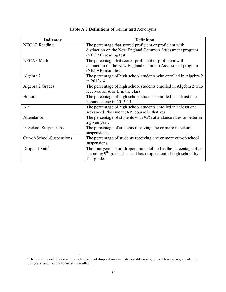| Indicator                  | <b>Definition</b>                                                           |
|----------------------------|-----------------------------------------------------------------------------|
| <b>NECAP</b> Reading       | The percentage that scored proficient or proficient with                    |
|                            | distinction on the New England Common Assessment program                    |
|                            | (NECAP) reading test.                                                       |
| <b>NECAP Math</b>          | The percentage that scored proficient or proficient with                    |
|                            | distinction on the New England Common Assessment program                    |
|                            | (NECAP) math test.                                                          |
| Algebra 2                  | The percentage of high school students who enrolled in Algebra 2            |
|                            | in 2013-14.                                                                 |
| Algebra 2 Grades           | The percentage of high school students enrolled in Algebra 2 who            |
|                            | received an A or B in the class.                                            |
| Honors                     | The percentage of high school students enrolled in at least one             |
|                            | honors course in 2013-14                                                    |
| AP                         | The percentage of high school students enrolled in at least one             |
|                            | Advanced Placement (AP) course in that year.                                |
| Attendance                 | The percentage of students with 95% attendance rates or better in           |
|                            | a given year.                                                               |
| In-School Suspensions      | The percentage of students receiving one or more in-school                  |
|                            | suspensions.                                                                |
| Out-of-School-Suspensions  | The percentage of students receiving one or more out-of-school              |
|                            | suspensions.                                                                |
| Drop out Rate <sup>6</sup> | The four year cohort dropout rate, defined as the percentage of an          |
|                            | incoming 9 <sup>th</sup> grade class that has dropped out of high school by |
|                            | $12^{th}$ grade.                                                            |

# **Table A.2 Definitions of Terms and Acronyms**

 $\overline{a}$ 

<sup>&</sup>lt;sup>6</sup> The remainder of students-those who have not dropped out- include two different groups. Those who graduated in four years, and those who are still enrolled.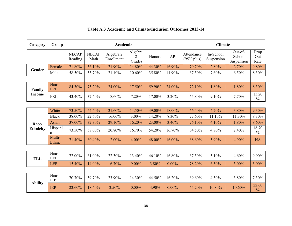| Category         | Group                   |                         |                      | Academic                |                                     |        |          | <b>Climate</b>             |                         |                                 |                        |  |
|------------------|-------------------------|-------------------------|----------------------|-------------------------|-------------------------------------|--------|----------|----------------------------|-------------------------|---------------------------------|------------------------|--|
|                  |                         | <b>NECAP</b><br>Reading | <b>NECAP</b><br>Math | Algebra 2<br>Enrollment | Algebra<br>$\overline{2}$<br>Grades | Honors | AP       | Attendance<br>$(95%$ plus) | In-School<br>Suspension | Out-of-<br>School<br>Suspension | Drop<br>Out<br>Rate    |  |
| Gender           | Female                  | 71.80%                  | 56.10%               | 21.90%                  | 14.80%                              | 44.30% | 16.90%   | 70.70%                     | 2.80%                   | 2.70%                           | 9.80%                  |  |
|                  | Male                    | 58.50%                  | 53.70%               | 21.10%                  | 10.60%                              | 35.80% | 11.90%   | 67.50%                     | 7.60%                   | 6.50%                           | 8.30%                  |  |
|                  |                         |                         |                      |                         |                                     |        |          |                            |                         |                                 |                        |  |
| Family           | Non-<br><b>FRL</b>      | 84.30%                  | 75.20%               | 24.00%                  | 17.50%                              | 59.90% | 24.00%   | 72.10%                     | 1.80%                   | 1.80%                           | 8.30%                  |  |
| <b>Income</b>    | <b>FRL</b>              | 43.40%                  | 32.40%               | 18.60%                  | 7.20%                               | 17.00% | 3.20%    | 65.80%                     | 9.10%                   | 7.70%                           | 15.20<br>$\%$          |  |
|                  |                         |                         |                      |                         |                                     |        |          |                            |                         |                                 |                        |  |
|                  | White                   | 73.50%                  | 64.40%               | 21.60%                  | 14.50%                              | 49.00% | 18.00%   | 66.40%                     | 4.20%                   | 3.80%                           | 9.30%                  |  |
|                  | <b>Black</b>            | 38.00%                  | 22.60%               | 16.00%                  | 3.00%                               | 14.20% | 8.30%    | 77.60%                     | 11.10%                  | 11.30%                          | 8.30%                  |  |
| Race/            | Asian                   | 37.00%                  | 32.30%               | 29.10%                  | 16.20%                              | 23.00% | 3.40%    | 76.10%                     | 4.10%                   | 1.80%                           | 8.60%                  |  |
| <b>Ethnicity</b> | Hispani<br>$\mathbf{c}$ | 73.50%                  | 58.00%               | 20.80%                  | 16.70%                              | 54.20% | 16.70%   | 64.50%                     | 4.80%                   | 2.40%                           | 16.70<br>$\frac{0}{0}$ |  |
|                  | Multi-<br>Ethnic        | 71.40%                  | 60.40%               | 12.00%                  | 4.00%                               | 48.00% | 16.00%   | 68.60%                     | 5.90%                   | 4.90%                           | <b>NA</b>              |  |
|                  |                         |                         |                      |                         |                                     |        |          |                            |                         |                                 |                        |  |
| <b>ELL</b>       | Non-<br><b>LEP</b>      | 72.00%                  | 61.00%               | 22.30%                  | 13.40%                              | 46.10% | 16.80%   | 67.50%                     | 5.10%                   | 4.60%                           | 9.90%                  |  |
|                  | <b>LEP</b>              | 15.40%                  | 14.00%               | 16.70%                  | 9.00%                               | 3.80%  | $0.00\%$ | 78.20%                     | 6.30%                   | 5.00%                           | 3.00%                  |  |
|                  |                         |                         |                      |                         |                                     |        |          |                            |                         |                                 |                        |  |
|                  | Non-<br><b>IEP</b>      | 70.70%                  | 59.70%               | 23.90%                  | 14.30%                              | 44.50% | 16.20%   | 69.60%                     | 4.50%                   | 3.80%                           | 7.30%                  |  |
| <b>Ability</b>   | <b>IEP</b>              | 22.60%                  | 18.40%               | 2.50%                   | $0.00\%$                            | 4.90%  | $0.00\%$ | 65.20%                     | 10.80%                  | 10.60%                          | 22.60<br>$\frac{0}{0}$ |  |

# **Table A.3 Academic and Climate/Inclusion Outcomes 2013-14**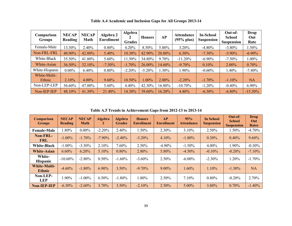| Comparison<br><b>Groups</b> | <b>NECAP</b><br>Reading | <b>NECAP</b><br>Math | Algebra 2<br><b>Enrollment</b> | Algebra<br><b>Grades</b> | <b>Honors</b> | <b>AP</b> | <b>Attendance</b><br>$(95%$ plus) | <b>In-School</b><br><b>Suspension</b> | Out-of-<br><b>School</b><br><b>Suspension</b> | Drop<br>Out<br>Rate |
|-----------------------------|-------------------------|----------------------|--------------------------------|--------------------------|---------------|-----------|-----------------------------------|---------------------------------------|-----------------------------------------------|---------------------|
| Female-Male                 | 13.30%                  | 2.40%                | $0.80\%$                       | 4.20%                    | 8.50%         | 5.00%     | 3.20%                             | $-4.80%$                              | $-3.80\%$                                     | $1.50\%$            |
| Non-FRL-FRL                 | 40.90%                  | 42.80%               | 5.40%                          | 10.30%                   | 42.90%        | 20.80%    | 6.30%                             | $-7.30\%$                             | $-5.90\%$                                     | $-6.90\%$           |
| White-Black                 | 35.50%                  | 41.80%               | 5.60%                          | $1.50\%$                 | 34.80%        | 9.70%     | $-11.20\%$                        | $-6.90\%$                             | $-7.50\%$                                     | $1.00\%$            |
| White-Asian                 | 36.50%                  | 32.10%               | $-7.50\%$                      | $-1.70%$                 | 26.00%        | 14.60%    | $-9.70%$                          | 0.10%                                 | $2.00\%$                                      | 0.70%               |
| White-Hispanic              | $0.00\%$                | 6.40%                | $0.80\%$                       | $-2.20%$                 | $-5.20%$      | $.30\%$   | 1.90%                             | $-0.60%$                              | 1.40%                                         | $-7.40%$            |
| White-Multi-<br>Ethnic      | 2.10%                   | $4.00\%$             | $9.60\%$                       | 10.50%                   | 1.00%         | $2.00\%$  | $-2.20%$                          | $-1.70\%$                             | $-1.10\%$                                     | <b>NA</b>           |
| Non-LEP-LEP                 | 56.60%                  | 47.00%               | 5.60%                          | 4.40%                    | 42.30%        | 16.80%    | $-10.70\%$                        | $-1.20%$                              | $-0.40%$                                      | 6.90%               |
| Non-IEP-IEP                 | 48.10%                  | 41.30%               | 21.40%                         | 14.30%                   | 39.60%        | 16.20%    | 4.40%                             | $-6.30\%$                             | $-6.80\%$                                     | $-15.30\%$          |

**Table A.4 Academic and Inclusion Gaps for All Groups 2013-14** 

**Table A.5 Trends in Achievement Gaps from 2012-13 to 2013-14** 

| <b>Comparison</b><br><b>Groups</b>   | <b>NECAP</b><br>Reading | <b>NECAP</b><br><b>Math</b> | <b>Algebra</b><br>2 | <b>Algebra</b><br><b>Grades</b> | <b>Honors</b><br><b>Enrollment</b> | AP<br><b>Enrollment</b> | 95%<br><b>Attendance</b> | <b>In School</b><br><b>Suspension</b> | Out-of-<br><b>School</b><br><b>Suspension</b> | <b>Drop</b><br>Out<br><b>Rates</b> |
|--------------------------------------|-------------------------|-----------------------------|---------------------|---------------------------------|------------------------------------|-------------------------|--------------------------|---------------------------------------|-----------------------------------------------|------------------------------------|
| <b>Female-Male</b>                   | $.80\%$                 | $0.00\%$                    | $-2.20%$            | 2.40%                           | 1.50%                              | 2.30%                   | 3.10%                    | $2.50\%$                              | 1.50%                                         | $-4.70%$                           |
| Non-FRL-<br><b>FRL</b>               | $-1.00\%$               | $-1.70%$                    | $-7.90\%$           | $-2.40%$                        | $-3.20\%$                          | $4.10\%$                | $-1.80\%$                | $0.30\%$                              | 0.40%                                         | 9.60%                              |
| <b>White-Black</b>                   | $-1.00\%$               | $-3.50\%$                   | 2.10%               | 7.60%                           | 2.50%                              | $-4.90\%$               | $-1.50\%$                | $4.00\%$                              | 1.90%                                         | $-0.30%$                           |
| <b>White-Asian</b>                   | $6.60\%$                | 6.20%                       | 5.10%               | 0.80%                           | 2.80%                              | 5.80%                   | $-4.50\%$                | $-0.10%$                              | $-0.20%$                                      | $-7.10%$                           |
| White-<br><b>Hispanic</b>            | $-10.60\%$              | $-2.80%$                    | $0.50\%$            | $-1.60%$                        | $-3.60\%$                          | $2.50\%$                | $-6.00\%$                | $-2.30\%$                             | 1.20%                                         | $-1.70%$                           |
| <b>White-Multi-</b><br><b>Ethnic</b> | $-4.60%$                | $-1.80%$                    | $6.90\%$            | $3.50\%$                        | $-9.70\%$                          | $9.00\%$                | 1.60%                    | $1.10\%$                              | $-1.30\%$                                     | <b>NA</b>                          |
| Non-LEP-<br><b>LEP</b>               | $1.90\%$                | $-1.00\%$                   | $6.50\%$            | $-1.80\%$                       | 1.80%                              | 2.50%                   | $7.10\%$                 | $0.80\%$                              | $-0.20%$                                      | 2.70%                              |
| <b>Non-IEP-IEP</b>                   | $-6.30%$                | $-2.60%$                    | 3.70%               | $3.50\%$                        | $-2.10%$                           | 2.50%                   | $5.00\%$                 | 3.80%                                 | 0.70%                                         | $-1.40%$                           |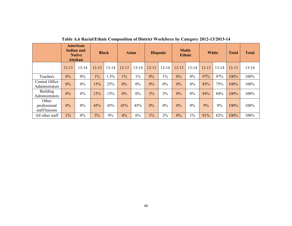|                                         | American<br><b>Indian and</b><br><b>Native</b><br><b>Alaskan</b> |           | <b>Black</b> |           | <b>Asian</b> |           | <b>Hispanic</b> |           | Multi-<br><b>Ethnic</b> |           | <b>White</b> |           | <b>Total</b> | <b>Total</b> |
|-----------------------------------------|------------------------------------------------------------------|-----------|--------------|-----------|--------------|-----------|-----------------|-----------|-------------------------|-----------|--------------|-----------|--------------|--------------|
|                                         | $12 - 13$                                                        | $13 - 14$ | $12 - 13$    | $13 - 14$ | $12 - 13$    | $13 - 14$ | $12 - 13$       | $13 - 14$ | $12 - 13$               | $13 - 14$ | $12 - 13$    | $13 - 14$ | $12 - 13$    | $13 - 14$    |
| Teachers                                | 0%                                                               | $0\%$     | $1\%$        | $.5\%$    | $1\%$        | $1\%$     | $0\%$           | $1\%$     | $0\%$                   | $0\%$     | 97%          | 97%       | 100%         | 100%         |
| Central Office<br>Administrators        | 0%                                                               | $0\%$     | 15%          | 25%       | $0\%$        | 0%        | $0\%$           | 0%        | 0%                      | 0%        | 85%          | 75%       | 100%         | 100%         |
| <b>Building</b><br>Administrators       | 0%                                                               | $0\%$     | 13%          | 13%       | $0\%$        | $0\%$     | 3%              | 3%        | 0%                      | 0%        | 84%          | 84%       | 100%         | 100%         |
| Other<br>professional<br>staff/liaisons | 0%                                                               | $0\%$     | 45%          | 45%       | 45%          | 45%       | $0\%$           | $0\%$     | $0\%$                   | 0%        | 9%           | 9%        | 100%         | 100%         |
| All other staff                         | $1\%$                                                            | $0\%$     | 3%           | 9%        | 4%           | 6%        | $1\%$           | $2\%$     | $0\%$                   | $1\%$     | 91%          | 82%       | 100%         | 100%         |

**Table A.6 Racial/Ethnic Composition of District Workforce by Category 2012-13/2013-14**